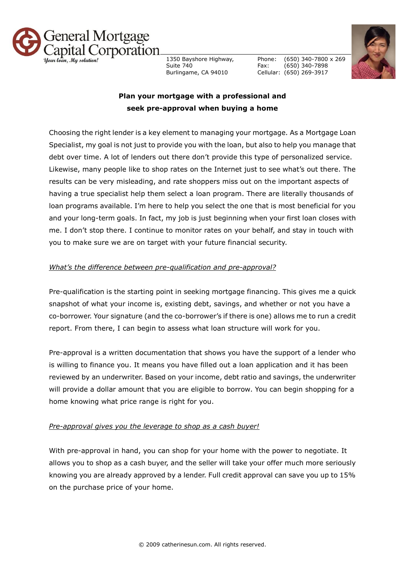

1350 Bayshore Highway, Suite 740 Burlingame, CA 94010

Phone: Fax: Cellular: (650) 269-3917 (650) 340-7800 x 269 (650) 340-7898



# **Plan your mortgage with a professional and seek pre-approval when buying a home**

Choosing the right lender is a key element to managing your mortgage. As a Mortgage Loan Specialist, my goal is not just to provide you with the loan, but also to help you manage that debt over time. A lot of lenders out there don't provide this type of personalized service. Likewise, many people like to shop rates on the Internet just to see what's out there. The results can be very misleading, and rate shoppers miss out on the important aspects of having a true specialist help them select a loan program. There are literally thousands of loan programs available. I'm here to help you select the one that is most beneficial for you and your long-term goals. In fact, my job is just beginning when your first loan closes with me. I don't stop there. I continue to monitor rates on your behalf, and stay in touch with you to make sure we are on target with your future financial security.

## *What's the difference between pre-qualification and pre-approval?*

Pre-qualification is the starting point in seeking mortgage financing. This gives me a quick snapshot of what your income is, existing debt, savings, and whether or not you have a co-borrower. Your signature (and the co-borrower's if there is one) allows me to run a credit report. From there, I can begin to assess what loan structure will work for you.

Pre-approval is a written documentation that shows you have the support of a lender who is willing to finance you. It means you have filled out a loan application and it has been reviewed by an underwriter. Based on your income, debt ratio and savings, the underwriter will provide a dollar amount that you are eligible to borrow. You can begin shopping for a home knowing what price range is right for you.

## *Pre-approval gives you the leverage to shop as a cash buyer!*

With pre-approval in hand, you can shop for your home with the power to negotiate. It allows you to shop as a cash buyer, and the seller will take your offer much more seriously knowing you are already approved by a lender. Full credit approval can save you up to 15% on the purchase price of your home.